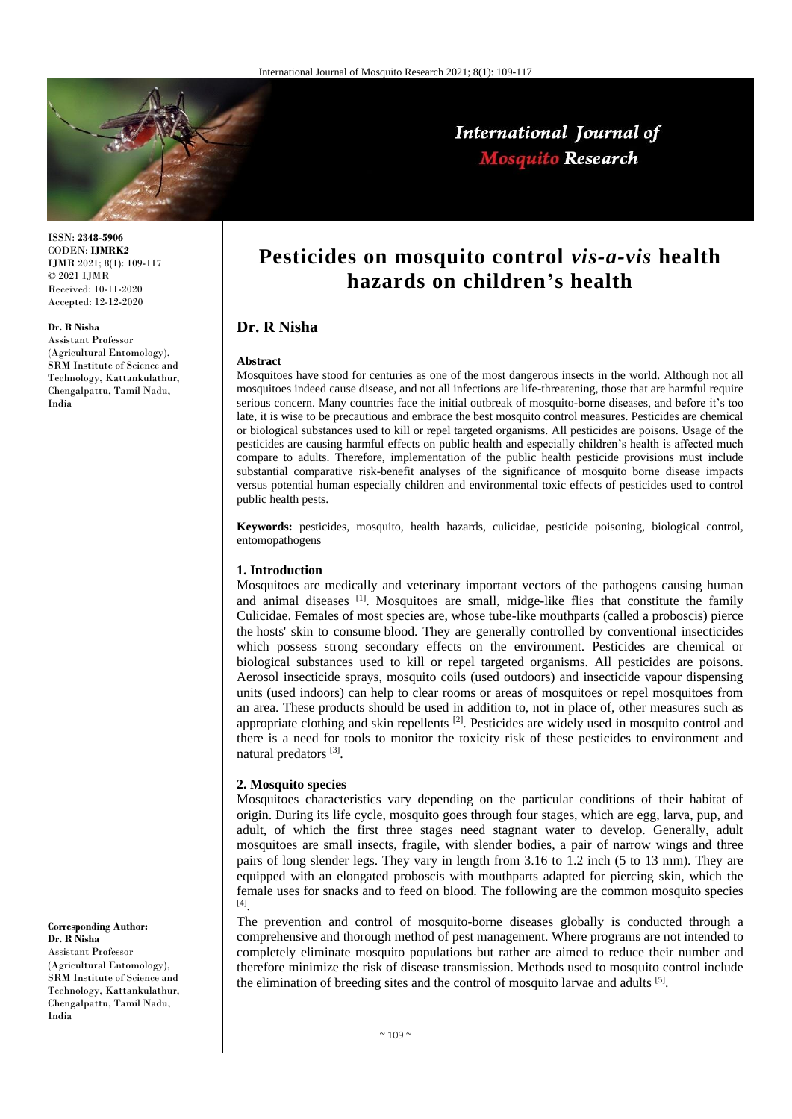

# International Journal of **Mosquito Research**

ISSN: **2348-5906** CODEN: **IJMRK2** IJMR 2021; 8(1): 109-117 © 2021 IJMR Received: 10-11-2020 Accepted: 12-12-2020

### **Dr. R Nisha**

Assistant Professor (Agricultural Entomology), SRM Institute of Science and Technology, Kattankulathur, Chengalpattu, Tamil Nadu, India

**Pesticides on mosquito control** *vis-a-vis* **health hazards on children's health**

# **Dr. R Nisha**

#### **Abstract**

Mosquitoes have stood for centuries as one of the most dangerous insects in the world. Although not all mosquitoes indeed cause disease, and not all infections are life-threatening, those that are harmful require serious concern. Many countries face the initial outbreak of mosquito-borne diseases, and before it's too late, it is wise to be precautious and embrace the best mosquito control measures. Pesticides are chemical or biological substances used to kill or repel targeted organisms. All pesticides are poisons. Usage of the pesticides are causing harmful effects on public health and especially children's health is affected much compare to adults. Therefore, implementation of the public health pesticide provisions must include substantial comparative risk-benefit analyses of the significance of mosquito borne disease impacts versus potential human especially children and environmental toxic effects of pesticides used to control public health pests.

**Keywords:** pesticides, mosquito, health hazards, culicidae, pesticide poisoning, biological control, entomopathogens

### **1. Introduction**

Mosquitoes are medically and veterinary important vectors of the pathogens causing human and animal diseases  $[1]$ . Mosquitoes are small, midge-like flies that constitute the family Culicidae. Females of most species are, whose tube-like mouthparts (called a proboscis) pierce the hosts' skin to consume blood. They are generally controlled by conventional insecticides which possess strong secondary effects on the environment. Pesticides are chemical or biological substances used to kill or repel targeted organisms. All pesticides are poisons. Aerosol insecticide sprays, mosquito coils (used outdoors) and insecticide vapour dispensing units (used indoors) can help to clear rooms or areas of mosquitoes or repel mosquitoes from an area. These products should be used in addition to, not in place of, other measures such as appropriate clothing and skin repellents<sup>[2]</sup>. Pesticides are widely used in mosquito control and there is a need for tools to monitor the toxicity risk of these pesticides to environment and natural predators<sup>[3]</sup>.

### **2. Mosquito species**

Mosquitoes characteristics vary depending on the particular conditions of their habitat of origin. During its life cycle, mosquito goes through four stages, which are egg, larva, pup, and adult, of which the first three stages need stagnant water to develop. Generally, adult mosquitoes are small insects, fragile, with slender bodies, a pair of narrow wings and three pairs of long slender legs. They vary in length from 3.16 to 1.2 inch (5 to 13 mm). They are equipped with an elongated proboscis with mouthparts adapted for piercing skin, which the female uses for snacks and to feed on blood. The following are the common mosquito species [4] .

The prevention and control of mosquito-borne diseases globally is conducted through a comprehensive and thorough method of pest management. Where programs are not intended to completely eliminate mosquito populations but rather are aimed to reduce their number and therefore minimize the risk of disease transmission. Methods used to mosquito control include the elimination of breeding sites and the control of mosquito larvae and adults [5].

### **Corresponding Author: Dr. R Nisha** Assistant Professor

(Agricultural Entomology), SRM Institute of Science and Technology, Kattankulathur, Chengalpattu, Tamil Nadu, India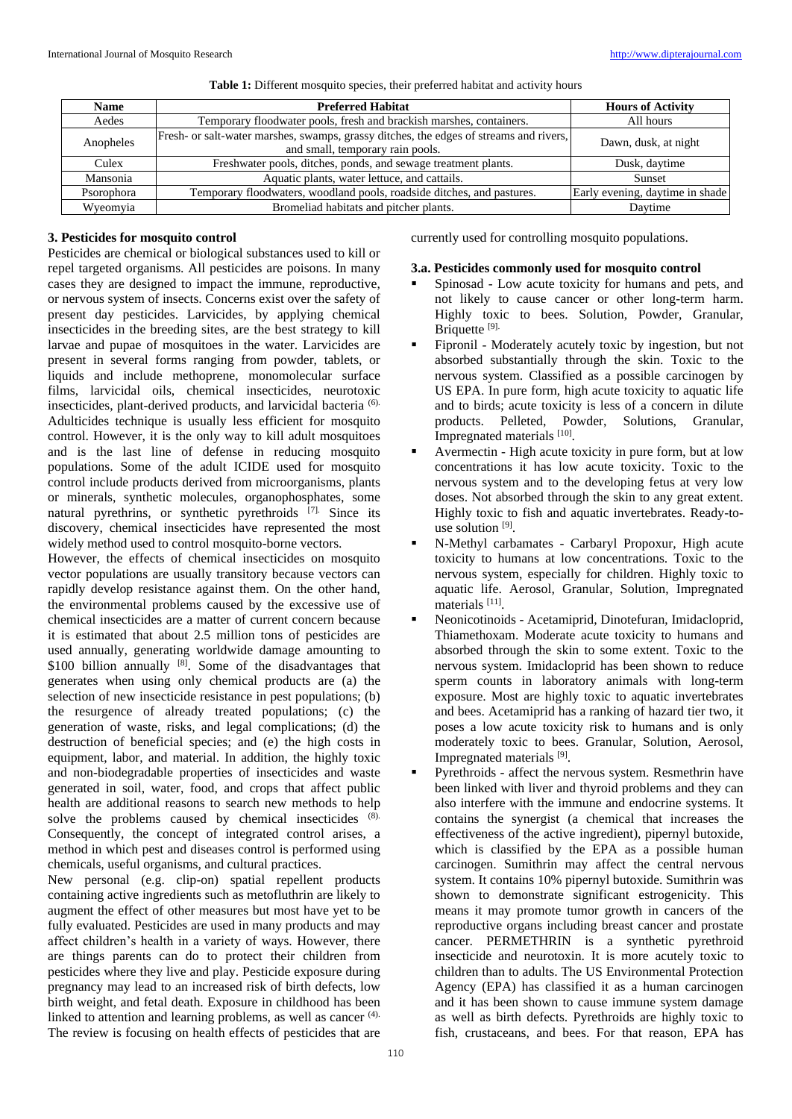| <b>Name</b> | <b>Preferred Habitat</b>                                                                                                    | <b>Hours of Activity</b>        |
|-------------|-----------------------------------------------------------------------------------------------------------------------------|---------------------------------|
| Aedes       | Temporary floodwater pools, fresh and brackish marshes, containers.                                                         | All hours                       |
| Anopheles   | [Fresh- or salt-water marshes, swamps, grassy ditches, the edges of streams and rivers,<br>and small, temporary rain pools. | Dawn, dusk, at night            |
| Culex       | Freshwater pools, ditches, ponds, and sewage treatment plants.                                                              | Dusk, daytime                   |
| Mansonia    | Aquatic plants, water lettuce, and cattails.                                                                                | Sunset                          |
| Psorophora  | Temporary floodwaters, woodland pools, roadside ditches, and pastures.                                                      | Early evening, daytime in shade |
| Wyeomyia    | Bromeliad habitats and pitcher plants.                                                                                      | Davtime                         |

#### Table 1: Different mosquito species, their preferred habitat and activity hours

### **3. Pesticides for mosquito control**

Pesticides are chemical or biological substances used to kill or repel targeted organisms. All pesticides are poisons. In many cases they are designed to impact the immune, reproductive, or nervous system of insects. Concerns exist over the safety of present day pesticides. Larvicides, by applying chemical insecticides in the breeding sites, are the best strategy to kill larvae and pupae of mosquitoes in the water. Larvicides are present in several forms ranging from powder, tablets, or liquids and include methoprene, monomolecular surface films, larvicidal oils, chemical insecticides, neurotoxic insecticides, plant-derived products, and larvicidal bacteria (6). Adulticides technique is usually less efficient for mosquito control. However, it is the only way to kill adult mosquitoes and is the last line of defense in reducing mosquito populations. Some of the adult ICIDE used for mosquito control include products derived from microorganisms, plants or minerals, synthetic molecules, organophosphates, some natural pyrethrins, or synthetic pyrethroids [7]. Since its discovery, chemical insecticides have represented the most widely method used to control mosquito-borne vectors.

However, the effects of chemical insecticides on mosquito vector populations are usually transitory because vectors can rapidly develop resistance against them. On the other hand, the environmental problems caused by the excessive use of chemical insecticides are a matter of current concern because it is estimated that about 2.5 million tons of pesticides are used annually, generating worldwide damage amounting to \$100 billion annually [8]. Some of the disadvantages that generates when using only chemical products are (a) the selection of new insecticide resistance in pest populations; (b) the resurgence of already treated populations; (c) the generation of waste, risks, and legal complications; (d) the destruction of beneficial species; and (e) the high costs in equipment, labor, and material. In addition, the highly toxic and non-biodegradable properties of insecticides and waste generated in soil, water, food, and crops that affect public health are additional reasons to search new methods to help solve the problems caused by chemical insecticides (8). Consequently, the concept of integrated control arises, a method in which pest and diseases control is performed using chemicals, useful organisms, and cultural practices.

New personal (e.g. clip-on) spatial repellent products containing active ingredients such as metofluthrin are likely to augment the effect of other measures but most have yet to be fully evaluated. Pesticides are used in many products and may affect children's health in a variety of ways. However, there are things parents can do to protect their children from pesticides where they live and play. Pesticide exposure during pregnancy may lead to an increased risk of birth defects, low birth weight, and fetal death. Exposure in childhood has been linked to attention and learning problems, as well as cancer <sup>(4).</sup> The review is focusing on health effects of pesticides that are

currently used for controlling mosquito populations.

### **3.a. Pesticides commonly used for mosquito control**

- Spinosad Low acute toxicity for humans and pets, and not likely to cause cancer or other long-term harm. Highly toxic to bees. Solution, Powder, Granular, Briquette<sup>[9].</sup>
- Fipronil Moderately acutely toxic by ingestion, but not absorbed substantially through the skin. Toxic to the nervous system. Classified as a possible carcinogen by US EPA. In pure form, high acute toxicity to aquatic life and to birds; acute toxicity is less of a concern in dilute products. Pelleted, Powder, Solutions, Granular, Impregnated materials [10].
- Avermectin High acute toxicity in pure form, but at low concentrations it has low acute toxicity. Toxic to the nervous system and to the developing fetus at very low doses. Not absorbed through the skin to any great extent. Highly toxic to fish and aquatic invertebrates. Ready-touse solution<sup>[9]</sup>.
- N-Methyl carbamates Carbaryl Propoxur, High acute toxicity to humans at low concentrations. Toxic to the nervous system, especially for children. Highly toxic to aquatic life. Aerosol, Granular, Solution, Impregnated materials [11].
- Neonicotinoids Acetamiprid, Dinotefuran, Imidacloprid, Thiamethoxam. Moderate acute toxicity to humans and absorbed through the skin to some extent. Toxic to the nervous system. Imidacloprid has been shown to reduce sperm counts in laboratory animals with long-term exposure. Most are highly toxic to aquatic invertebrates and bees. Acetamiprid has a ranking of hazard tier two, it poses a low acute toxicity risk to humans and is only moderately toxic to bees. Granular, Solution, Aerosol, Impregnated materials [9].
- Pyrethroids affect the nervous system. Resmethrin have been linked with liver and thyroid problems and they can also interfere with the immune and endocrine systems. It contains the synergist (a chemical that increases the effectiveness of the active ingredient), pipernyl butoxide, which is classified by the EPA as a possible human carcinogen. Sumithrin may affect the central nervous system. It contains 10% pipernyl butoxide. Sumithrin was shown to demonstrate significant estrogenicity. This means it may promote tumor growth in cancers of the reproductive organs including breast cancer and prostate cancer. PERMETHRIN is a synthetic pyrethroid insecticide and neurotoxin. It is more acutely toxic to children than to adults. The US Environmental Protection Agency (EPA) has classified it as a human carcinogen and it has been shown to cause immune system damage as well as birth defects. Pyrethroids are highly toxic to fish, crustaceans, and bees. For that reason, EPA has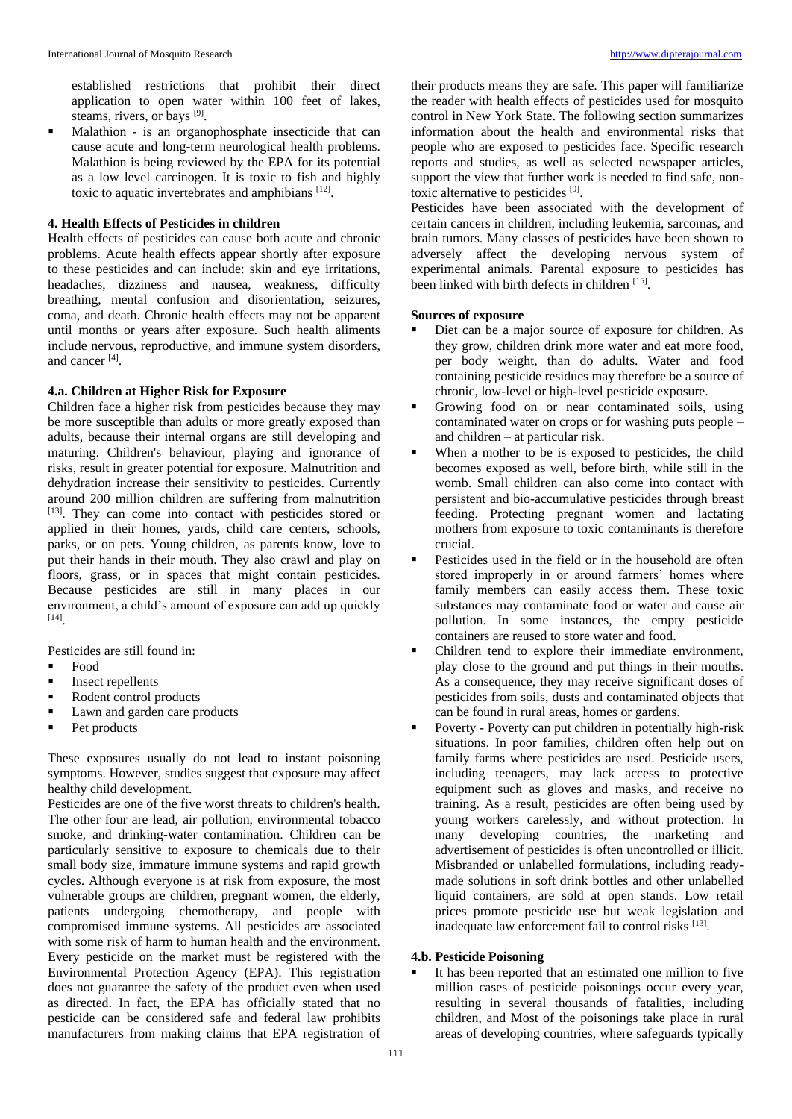established restrictions that prohibit their direct application to open water within 100 feet of lakes, steams, rivers, or bays [9].

Malathion - is an organophosphate insecticide that can cause acute and long-term neurological health problems. Malathion is being reviewed by the EPA for its potential as a low level carcinogen. It is toxic to fish and highly toxic to aquatic invertebrates and amphibians [12].

### **4. Health Effects of Pesticides in children**

Health effects of pesticides can cause both acute and chronic problems. Acute health effects appear shortly after exposure to these pesticides and can include: skin and eye irritations, headaches, dizziness and nausea, weakness, difficulty breathing, mental confusion and disorientation, seizures, coma, and death. Chronic health effects may not be apparent until months or years after exposure. Such health aliments include nervous, reproductive, and immune system disorders, and cancer [4] .

# **4.a. Children at Higher Risk for Exposure**

Children face a higher risk from pesticides because they may be more susceptible than adults or more greatly exposed than adults, because their internal organs are still developing and maturing. Children's behaviour, playing and ignorance of risks, result in greater potential for exposure. Malnutrition and dehydration increase their sensitivity to pesticides. Currently around 200 million children are suffering from malnutrition [13]. They can come into contact with pesticides stored or applied in their homes, yards, child care centers, schools, parks, or on pets. Young children, as parents know, love to put their hands in their mouth. They also crawl and play on floors, grass, or in spaces that might contain pesticides. Because pesticides are still in many places in our environment, a child's amount of exposure can add up quickly [14] .

Pesticides are still found in:

- Food
- Insect repellents
- Rodent control products
- Lawn and garden care products
- Pet products

These exposures usually do not lead to instant poisoning symptoms. However, studies suggest that exposure may affect healthy child development.

Pesticides are one of the five worst threats to children's health. The other four are lead, air pollution, environmental tobacco smoke, and drinking-water contamination. Children can be particularly sensitive to exposure to chemicals due to their small body size, immature immune systems and rapid growth cycles. Although everyone is at risk from exposure, the most vulnerable groups are children, pregnant women, the elderly, patients undergoing chemotherapy, and people with compromised immune systems. All pesticides are associated with some risk of harm to human health and the environment. Every pesticide on the market must be registered with the Environmental Protection Agency (EPA). This registration does not guarantee the safety of the product even when used as directed. In fact, the EPA has officially stated that no pesticide can be considered safe and federal law prohibits manufacturers from making claims that EPA registration of their products means they are safe. This paper will familiarize the reader with health effects of pesticides used for mosquito control in New York State. The following section summarizes information about the health and environmental risks that people who are exposed to pesticides face. Specific research reports and studies, as well as selected newspaper articles, support the view that further work is needed to find safe, nontoxic alternative to pesticides [9].

Pesticides have been associated with the development of certain cancers in children, including leukemia, sarcomas, and brain tumors. Many classes of pesticides have been shown to adversely affect the developing nervous system of experimental animals. Parental exposure to pesticides has been linked with birth defects in children [15].

# **Sources of exposure**

- Diet can be a major source of exposure for children. As they grow, children drink more water and eat more food, per body weight, than do adults. Water and food containing pesticide residues may therefore be a source of chronic, low-level or high-level pesticide exposure.
- Growing food on or near contaminated soils, using contaminated water on crops or for washing puts people – and children – at particular risk.
- When a mother to be is exposed to pesticides, the child becomes exposed as well, before birth, while still in the womb. Small children can also come into contact with persistent and bio-accumulative pesticides through breast feeding. Protecting pregnant women and lactating mothers from exposure to toxic contaminants is therefore crucial.
- Pesticides used in the field or in the household are often stored improperly in or around farmers' homes where family members can easily access them. These toxic substances may contaminate food or water and cause air pollution. In some instances, the empty pesticide containers are reused to store water and food.
- Children tend to explore their immediate environment, play close to the ground and put things in their mouths. As a consequence, they may receive significant doses of pesticides from soils, dusts and contaminated objects that can be found in rural areas, homes or gardens.
- Poverty Poverty can put children in potentially high-risk situations. In poor families, children often help out on family farms where pesticides are used. Pesticide users, including teenagers, may lack access to protective equipment such as gloves and masks, and receive no training. As a result, pesticides are often being used by young workers carelessly, and without protection. In many developing countries, the marketing and advertisement of pesticides is often uncontrolled or illicit. Misbranded or unlabelled formulations, including readymade solutions in soft drink bottles and other unlabelled liquid containers, are sold at open stands. Low retail prices promote pesticide use but weak legislation and inadequate law enforcement fail to control risks [13].

### **4.b. Pesticide Poisoning**

It has been reported that an estimated one million to five million cases of pesticide poisonings occur every year, resulting in several thousands of fatalities, including children, and Most of the poisonings take place in rural areas of developing countries, where safeguards typically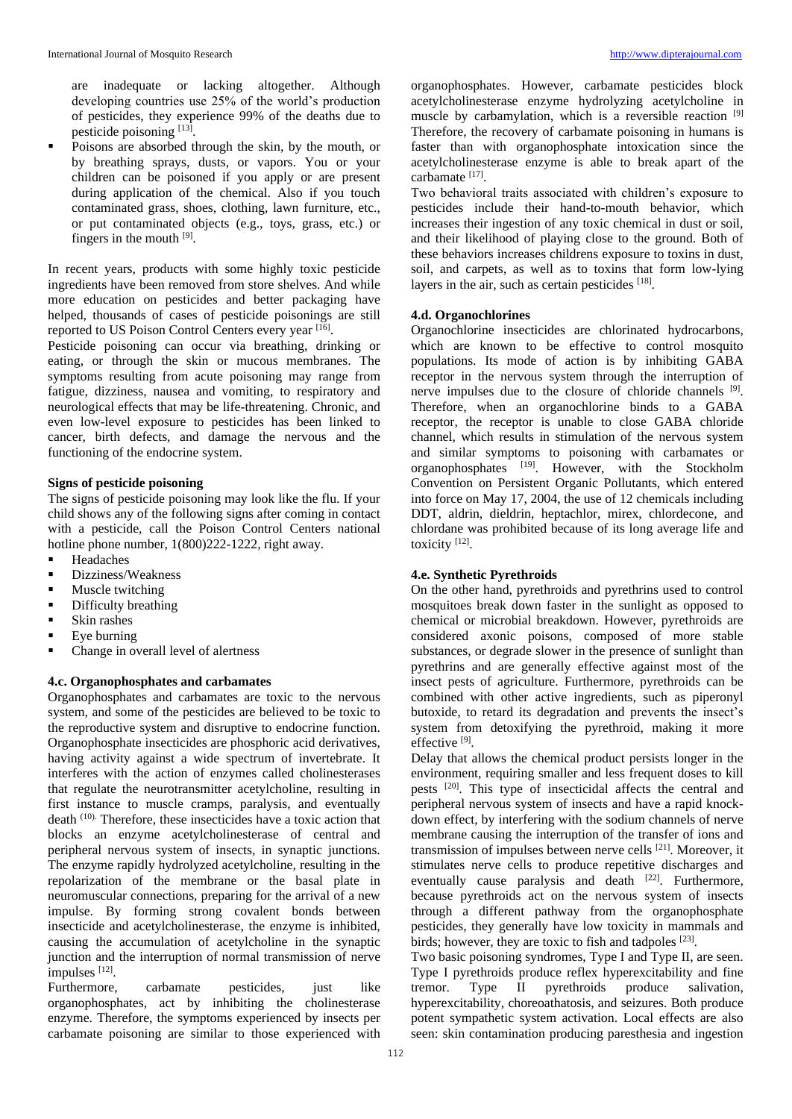are inadequate or lacking altogether. Although developing countries use 25% of the world's production of pesticides, they experience 99% of the deaths due to pesticide poisoning [13].

Poisons are absorbed through the skin, by the mouth, or by breathing sprays, dusts, or vapors. You or your children can be poisoned if you apply or are present during application of the chemical. Also if you touch contaminated grass, shoes, clothing, lawn furniture, etc., or put contaminated objects (e.g., toys, grass, etc.) or fingers in the mouth [9].

In recent years, products with some highly toxic pesticide ingredients have been removed from store shelves. And while more education on pesticides and better packaging have helped, thousands of cases of pesticide poisonings are still reported to US Poison Control Centers every year [16].

Pesticide poisoning can occur via breathing, drinking or eating, or through the skin or mucous membranes. The symptoms resulting from acute poisoning may range from fatigue, dizziness, nausea and vomiting, to respiratory and neurological effects that may be life-threatening. Chronic, and even low-level exposure to pesticides has been linked to cancer, birth defects, and damage the nervous and the functioning of the endocrine system.

### **Signs of pesticide poisoning**

The signs of pesticide poisoning may look like the flu. If your child shows any of the following signs after coming in contact with a pesticide, call the Poison Control Centers national hotline phone number, 1(800)222-1222, right away.

- **Headaches**
- Dizziness/Weakness
- Muscle twitching
- Difficulty breathing
- Skin rashes
- Eye burning
- Change in overall level of alertness

### **4.c. Organophosphates and carbamates**

Organophosphates and carbamates are toxic to the nervous system, and some of the pesticides are believed to be toxic to the reproductive system and disruptive to endocrine function. Organophosphate insecticides are phosphoric acid derivatives, having activity against a wide spectrum of invertebrate. It interferes with the action of enzymes called cholinesterases that regulate the neurotransmitter acetylcholine, resulting in first instance to muscle cramps, paralysis, and eventually death (10). Therefore, these insecticides have a toxic action that blocks an enzyme acetylcholinesterase of central and peripheral nervous system of insects, in synaptic junctions. The enzyme rapidly hydrolyzed acetylcholine, resulting in the repolarization of the membrane or the basal plate in neuromuscular connections, preparing for the arrival of a new impulse. By forming strong covalent bonds between insecticide and acetylcholinesterase, the enzyme is inhibited, causing the accumulation of acetylcholine in the synaptic junction and the interruption of normal transmission of nerve impulses [12].

Furthermore, carbamate pesticides, just like organophosphates, act by inhibiting the cholinesterase enzyme. Therefore, the symptoms experienced by insects per carbamate poisoning are similar to those experienced with organophosphates. However, carbamate pesticides block acetylcholinesterase enzyme hydrolyzing acetylcholine in muscle by carbamylation, which is a reversible reaction [9] Therefore, the recovery of carbamate poisoning in humans is faster than with organophosphate intoxication since the acetylcholinesterase enzyme is able to break apart of the carbamate<sup>[17]</sup>.

Two behavioral traits associated with children's exposure to pesticides include their hand-to-mouth behavior, which increases their ingestion of any toxic chemical in dust or soil, and their likelihood of playing close to the ground. Both of these behaviors increases childrens exposure to toxins in dust, soil, and carpets, as well as to toxins that form low-lying layers in the air, such as certain pesticides [18].

### **4.d. Organochlorines**

Organochlorine insecticides are chlorinated hydrocarbons, which are known to be effective to control mosquito populations. Its mode of action is by inhibiting GABA receptor in the nervous system through the interruption of nerve impulses due to the closure of chloride channels [9]. Therefore, when an organochlorine binds to a GABA receptor, the receptor is unable to close GABA chloride channel, which results in stimulation of the nervous system and similar symptoms to poisoning with carbamates or organophosphates <sup>[19]</sup>. However, with the Stockholm Convention on Persistent Organic Pollutants, which entered into force on May 17, 2004, the use of 12 chemicals including DDT, aldrin, dieldrin, heptachlor, mirex, chlordecone, and chlordane was prohibited because of its long average life and toxicity<sup>[12]</sup>.

### **4.e. Synthetic Pyrethroids**

On the other hand, pyrethroids and pyrethrins used to control mosquitoes break down faster in the sunlight as opposed to chemical or microbial breakdown. However, pyrethroids are considered axonic poisons, composed of more stable substances, or degrade slower in the presence of sunlight than pyrethrins and are generally effective against most of the insect pests of agriculture. Furthermore, pyrethroids can be combined with other active ingredients, such as piperonyl butoxide, to retard its degradation and prevents the insect's system from detoxifying the pyrethroid, making it more effective<sup>[9]</sup>.

Delay that allows the chemical product persists longer in the environment, requiring smaller and less frequent doses to kill pests <sup>[20]</sup>. This type of insecticidal affects the central and peripheral nervous system of insects and have a rapid knockdown effect, by interfering with the sodium channels of nerve membrane causing the interruption of the transfer of ions and transmission of impulses between nerve cells [21]. Moreover, it stimulates nerve cells to produce repetitive discharges and eventually cause paralysis and death  $[22]$ . Furthermore, because pyrethroids act on the nervous system of insects through a different pathway from the organophosphate pesticides, they generally have low toxicity in mammals and birds; however, they are toxic to fish and tadpoles [23].

Two basic poisoning syndromes, Type I and Type II, are seen. Type I pyrethroids produce reflex hyperexcitability and fine tremor. Type II pyrethroids produce salivation, hyperexcitability, choreoathatosis, and seizures. Both produce potent sympathetic system activation. Local effects are also seen: skin contamination producing paresthesia and ingestion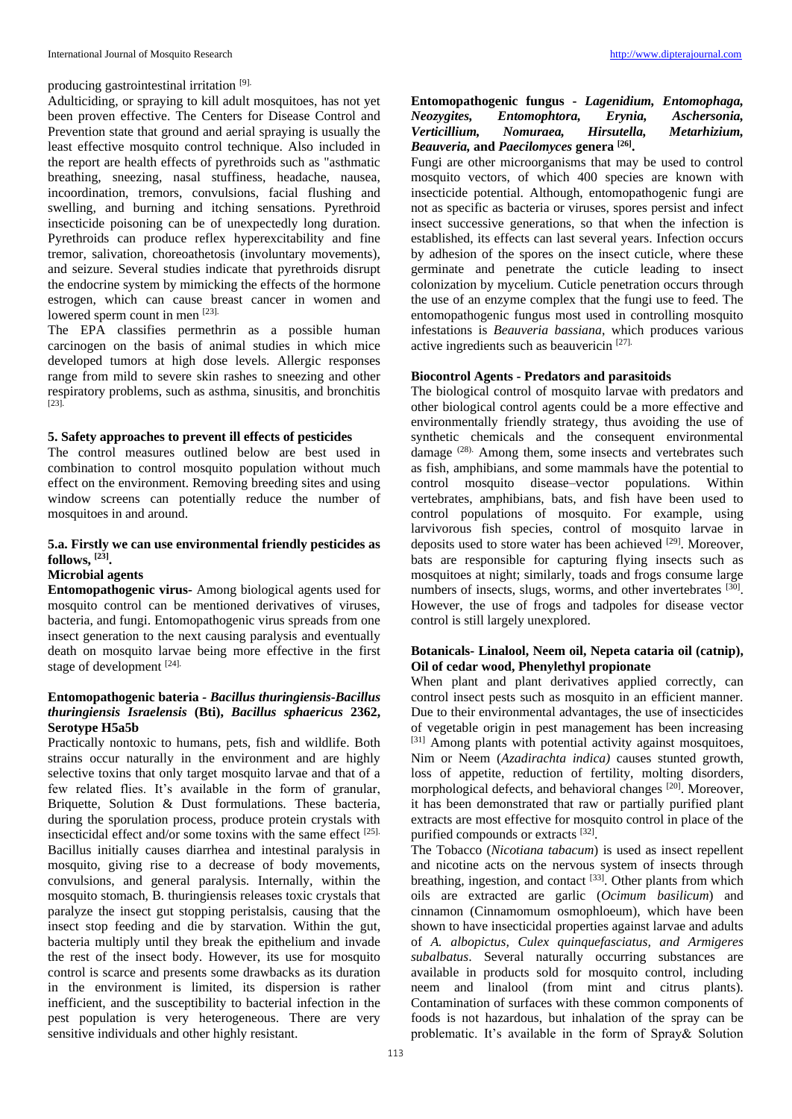### producing gastrointestinal irritation [9].

Adulticiding, or spraying to kill adult mosquitoes, has not yet been proven effective. The Centers for Disease Control and Prevention state that ground and aerial spraying is usually the least effective mosquito control technique. Also included in the report are health effects of pyrethroids such as "asthmatic breathing, sneezing, nasal stuffiness, headache, nausea, incoordination, tremors, convulsions, facial flushing and swelling, and burning and itching sensations. Pyrethroid insecticide poisoning can be of unexpectedly long duration. Pyrethroids can produce reflex hyperexcitability and fine tremor, salivation, choreoathetosis (involuntary movements), and seizure. Several studies indicate that pyrethroids disrupt the endocrine system by mimicking the effects of the hormone estrogen, which can cause breast cancer in women and lowered sperm count in men [23].

The EPA classifies permethrin as a possible human carcinogen on the basis of animal studies in which mice developed tumors at high dose levels. Allergic responses range from mild to severe skin rashes to sneezing and other respiratory problems, such as asthma, sinusitis, and bronchitis [23].

### **5. Safety approaches to prevent ill effects of pesticides**

The control measures outlined below are best used in combination to control mosquito population without much effect on the environment. Removing breeding sites and using window screens can potentially reduce the number of mosquitoes in and around.

# **5.a. Firstly we can use environmental friendly pesticides as follows, [23] .**

# **Microbial agents**

**Entomopathogenic virus-** Among biological agents used for mosquito control can be mentioned derivatives of viruses, bacteria, and fungi. Entomopathogenic virus spreads from one insect generation to the next causing paralysis and eventually death on mosquito larvae being more effective in the first stage of development [24].

### **Entomopathogenic bateria** *- Bacillus thuringiensis***-***Bacillus thuringiensis Israelensis* **(Bti),** *Bacillus sphaericus* **2362, Serotype H5a5b**

Practically nontoxic to humans, pets, fish and wildlife. Both strains occur naturally in the environment and are highly selective toxins that only target mosquito larvae and that of a few related flies. It's available in the form of granular, Briquette, Solution & Dust formulations. These bacteria, during the sporulation process, produce protein crystals with insecticidal effect and/or some toxins with the same effect [25]. Bacillus initially causes diarrhea and intestinal paralysis in mosquito, giving rise to a decrease of body movements, convulsions, and general paralysis. Internally, within the mosquito stomach, B. thuringiensis releases toxic crystals that paralyze the insect gut stopping peristalsis, causing that the insect stop feeding and die by starvation. Within the gut, bacteria multiply until they break the epithelium and invade the rest of the insect body. However, its use for mosquito control is scarce and presents some drawbacks as its duration in the environment is limited, its dispersion is rather inefficient, and the susceptibility to bacterial infection in the pest population is very heterogeneous. There are very sensitive individuals and other highly resistant.

## **Entomopathogenic fungus -** *Lagenidium, Entomophaga, Neozygites, Entomophtora, Erynia, Aschersonia, Hirsutella, Metarhizium, Beauveria,* **and** *Paecilomyces* **genera [26] .**

Fungi are other microorganisms that may be used to control mosquito vectors, of which 400 species are known with insecticide potential. Although, entomopathogenic fungi are not as specific as bacteria or viruses, spores persist and infect insect successive generations, so that when the infection is established, its effects can last several years. Infection occurs by adhesion of the spores on the insect cuticle, where these germinate and penetrate the cuticle leading to insect colonization by mycelium. Cuticle penetration occurs through the use of an enzyme complex that the fungi use to feed. The entomopathogenic fungus most used in controlling mosquito infestations is *Beauveria bassiana*, which produces various active ingredients such as beauvericin [27].

### **Biocontrol Agents - Predators and parasitoids**

The biological control of mosquito larvae with predators and other biological control agents could be a more effective and environmentally friendly strategy, thus avoiding the use of synthetic chemicals and the consequent environmental damage <sup>(28)</sup>. Among them, some insects and vertebrates such as fish, amphibians, and some mammals have the potential to control mosquito disease–vector populations. Within vertebrates, amphibians, bats, and fish have been used to control populations of mosquito. For example, using larvivorous fish species, control of mosquito larvae in deposits used to store water has been achieved [29]. Moreover, bats are responsible for capturing flying insects such as mosquitoes at night; similarly, toads and frogs consume large numbers of insects, slugs, worms, and other invertebrates [30]. However, the use of frogs and tadpoles for disease vector control is still largely unexplored.

### **Botanicals- Linalool, Neem oil, Nepeta cataria oil (catnip), Oil of cedar wood, Phenylethyl propionate**

When plant and plant derivatives applied correctly, can control insect pests such as mosquito in an efficient manner. Due to their environmental advantages, the use of insecticides of vegetable origin in pest management has been increasing [31] Among plants with potential activity against mosquitoes, Nim or Neem (*Azadirachta indica)* causes stunted growth, loss of appetite, reduction of fertility, molting disorders, morphological defects, and behavioral changes <sup>[20]</sup>. Moreover, it has been demonstrated that raw or partially purified plant extracts are most effective for mosquito control in place of the purified compounds or extracts [32].

The Tobacco (*Nicotiana tabacum*) is used as insect repellent and nicotine acts on the nervous system of insects through breathing, ingestion, and contact  $[33]$ . Other plants from which oils are extracted are garlic (*Ocimum basilicum*) and cinnamon (Cinnamomum osmophloeum), which have been shown to have insecticidal properties against larvae and adults of *A. albopictus, Culex quinquefasciatus, and Armigeres subalbatus*. Several naturally occurring substances are available in products sold for mosquito control, including neem and linalool (from mint and citrus plants). Contamination of surfaces with these common components of foods is not hazardous, but inhalation of the spray can be problematic. It's available in the form of Spray& Solution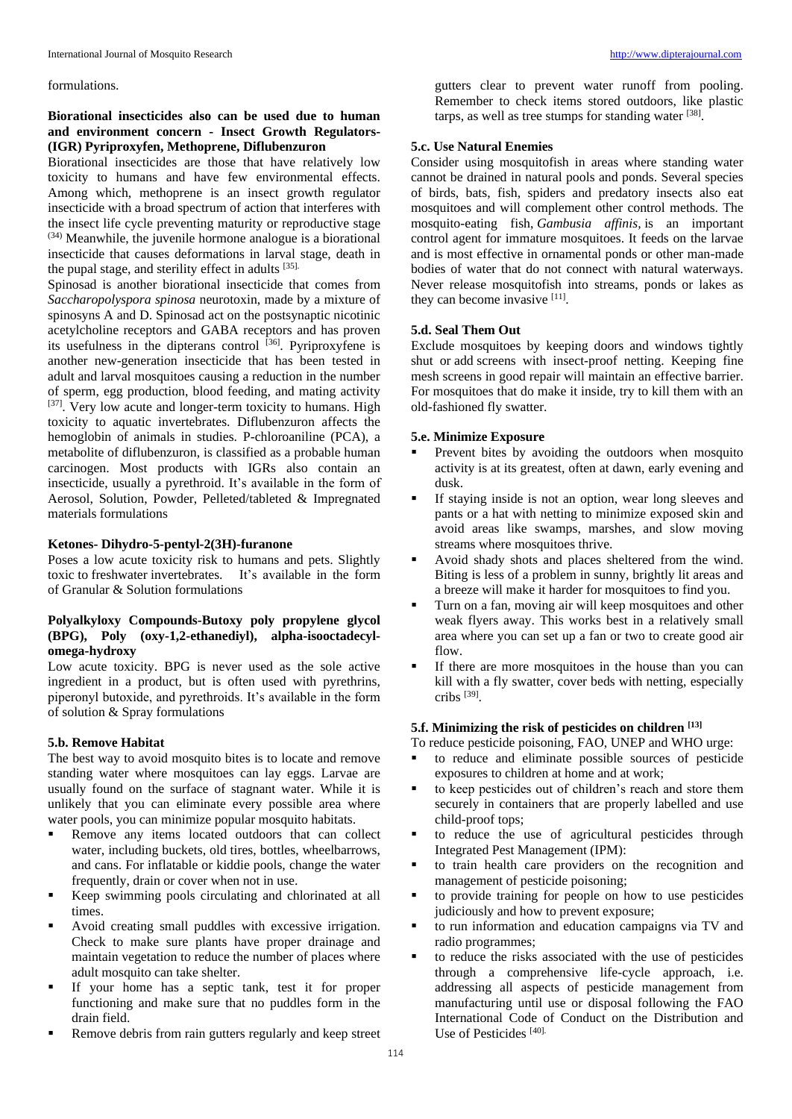formulations.

### **Biorational insecticides also can be used due to human and environment concern - Insect Growth Regulators- (IGR) Pyriproxyfen, Methoprene, Diflubenzuron**

Biorational insecticides are those that have relatively low toxicity to humans and have few environmental effects. Among which, methoprene is an insect growth regulator insecticide with a broad spectrum of action that interferes with the insect life cycle preventing maturity or reproductive stage (34) Meanwhile, the juvenile hormone analogue is a biorational insecticide that causes deformations in larval stage, death in the pupal stage, and sterility effect in adults [35].

Spinosad is another biorational insecticide that comes from *Saccharopolyspora spinosa* neurotoxin, made by a mixture of spinosyns A and D. Spinosad act on the postsynaptic nicotinic acetylcholine receptors and GABA receptors and has proven its usefulness in the dipterans control [36]. Pyriproxyfene is another new-generation insecticide that has been tested in adult and larval mosquitoes causing a reduction in the number of sperm, egg production, blood feeding, and mating activity <sup>[37]</sup>. Very low acute and longer-term toxicity to humans. High toxicity to aquatic invertebrates. Diflubenzuron affects the hemoglobin of animals in studies. P-chloroaniline (PCA), a metabolite of diflubenzuron, is classified as a probable human carcinogen. Most products with IGRs also contain an insecticide, usually a pyrethroid. It's available in the form of Aerosol, Solution, Powder, Pelleted/tableted & Impregnated materials formulations

### **Ketones- Dihydro-5-pentyl-2(3H)-furanone**

Poses a low acute toxicity risk to humans and pets. Slightly toxic to freshwater invertebrates. It's available in the form of Granular & Solution formulations

### **Polyalkyloxy Compounds-Butoxy poly propylene glycol (BPG), Poly (oxy-1,2-ethanediyl), alpha-isooctadecylomega-hydroxy**

Low acute toxicity. BPG is never used as the sole active ingredient in a product, but is often used with pyrethrins, piperonyl butoxide, and pyrethroids. It's available in the form of solution & Spray formulations

### **5.b. Remove Habitat**

The best way to avoid mosquito bites is to locate and remove standing water where mosquitoes can lay eggs. Larvae are usually found on the surface of stagnant water. While it is unlikely that you can eliminate every possible area where water pools, you can minimize popular mosquito habitats.

- Remove any items located outdoors that can collect water, including buckets, old tires, bottles, wheelbarrows, and cans. For inflatable or kiddie pools, change the water frequently, drain or cover when not in use.
- Keep swimming pools circulating and chlorinated at all times.
- Avoid creating small puddles with excessive irrigation. Check to make sure plants have proper drainage and maintain vegetation to reduce the number of places where adult mosquito can take shelter.
- If your home has a septic tank, test it for proper functioning and make sure that no puddles form in the drain field.
- Remove debris from rain gutters regularly and keep street

gutters clear to prevent water runoff from pooling. Remember to check items stored outdoors, like plastic tarps, as well as tree stumps for standing water [38].

### **5.c. Use Natural Enemies**

Consider using mosquitofish in areas where standing water cannot be drained in natural pools and ponds. Several species of birds, bats, fish, spiders and predatory insects also eat mosquitoes and will complement other control methods. The mosquito-eating fish, *Gambusia affinis,* is an important control agent for immature mosquitoes. It feeds on the larvae and is most effective in ornamental ponds or other man-made bodies of water that do not connect with natural waterways. Never release mosquitofish into streams, ponds or lakes as they can become invasive [11].

### **5.d. Seal Them Out**

Exclude mosquitoes by keeping doors and windows tightly shut or add screens with insect-proof netting. Keeping fine mesh screens in good repair will maintain an effective barrier. For mosquitoes that do make it inside, try to kill them with an old-fashioned fly swatter.

### **5.e. Minimize Exposure**

- Prevent bites by avoiding the outdoors when mosquito activity is at its greatest, often at dawn, early evening and dusk.
- If staying inside is not an option, wear long sleeves and pants or a hat with netting to minimize exposed skin and avoid areas like swamps, marshes, and slow moving streams where mosquitoes thrive.
- Avoid shady shots and places sheltered from the wind. Biting is less of a problem in sunny, brightly lit areas and a breeze will make it harder for mosquitoes to find you.
- Turn on a fan, moving air will keep mosquitoes and other weak flyers away. This works best in a relatively small area where you can set up a fan or two to create good air flow.
- If there are more mosquitoes in the house than you can kill with a fly swatter, cover beds with netting, especially cribs [39] .

### **5.f. Minimizing the risk of pesticides on children [13]**

To reduce pesticide poisoning, FAO, UNEP and WHO urge:

- to reduce and eliminate possible sources of pesticide exposures to children at home and at work;
- to keep pesticides out of children's reach and store them securely in containers that are properly labelled and use child-proof tops;
- to reduce the use of agricultural pesticides through Integrated Pest Management (IPM):
- to train health care providers on the recognition and management of pesticide poisoning;
- to provide training for people on how to use pesticides judiciously and how to prevent exposure;
- to run information and education campaigns via TV and radio programmes;
- to reduce the risks associated with the use of pesticides through a comprehensive life-cycle approach, i.e. addressing all aspects of pesticide management from manufacturing until use or disposal following the FAO International Code of Conduct on the Distribution and Use of Pesticides [40].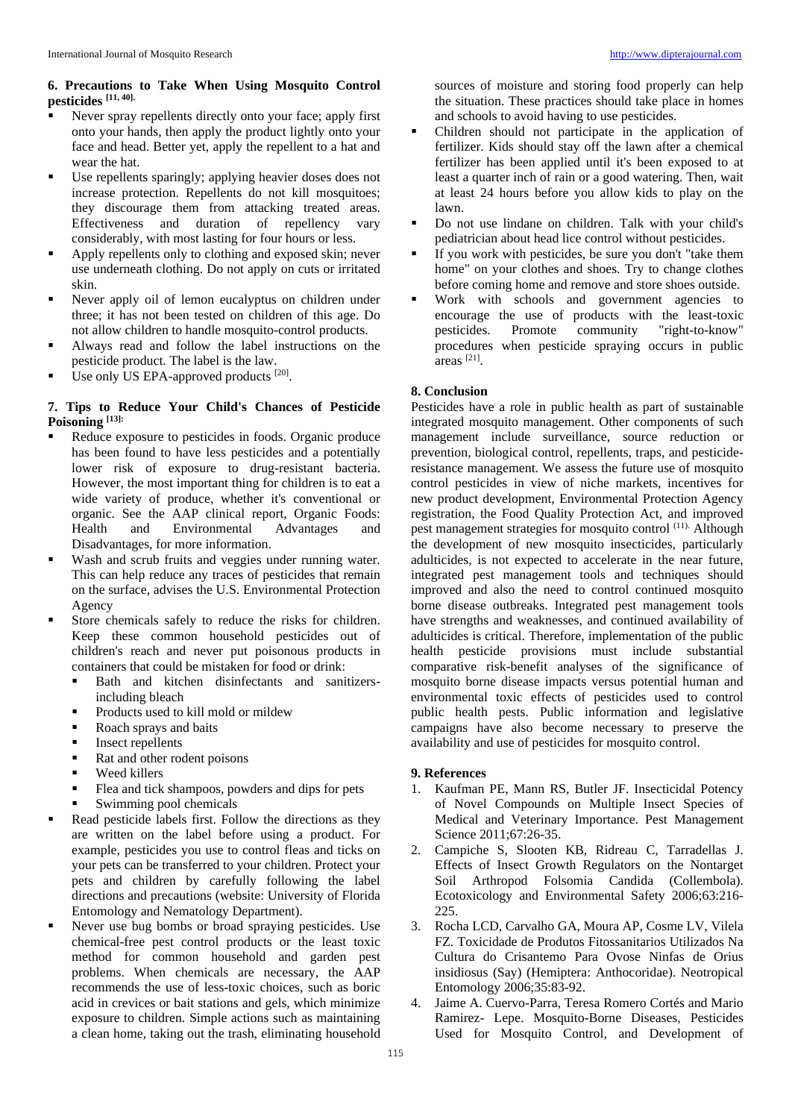### **6. Precautions to Take When Using Mosquito Control pesticides [11, 40].**

- Never spray repellents directly onto your face; apply first onto your hands, then apply the product lightly onto your face and head. Better yet, apply the repellent to a hat and wear the hat.
- Use repellents sparingly; applying heavier doses does not increase protection. Repellents do not kill mosquitoes; they discourage them from attacking treated areas. Effectiveness and duration of repellency vary considerably, with most lasting for four hours or less.
- Apply repellents only to clothing and exposed skin; never use underneath clothing. Do not apply on cuts or irritated skin.
- Never apply oil of lemon eucalyptus on children under three; it has not been tested on children of this age. Do not allow children to handle mosquito-control products.
- Always read and follow the label instructions on the pesticide product. The label is the law.
- Use only US EPA-approved products [20].

# **7. Tips to Reduce Your Child's Chances of Pesticide Poisoning [13]:**

- Reduce exposure to pesticides in foods. Organic produce has been found to have less pesticides and a potentially lower risk of exposure to drug-resistant bacteria. However, the most important thing for children is to eat a wide variety of produce, whether it's conventional or organic. See the AAP clinical report, Organic Foods: Health and Environmental Advantages and Disadvantages, for more information.
- Wash and scrub fruits and veggies under running water. This can help reduce any traces of pesticides that remain on the surface, advises the U.S. Environmental Protection Agency
- Store chemicals safely to reduce the risks for children. Keep these common household pesticides out of children's reach and never put poisonous products in containers that could be mistaken for food or drink:
	- Bath and kitchen disinfectants and sanitizersincluding bleach
	- Products used to kill mold or mildew
	- Roach sprays and baits
	- Insect repellents
	- Rat and other rodent poisons
	- Weed killers
	- Flea and tick shampoos, powders and dips for pets
	- Swimming pool chemicals
- Read pesticide labels first. Follow the directions as they are written on the label before using a product. For example, pesticides you use to control fleas and ticks on your pets can be transferred to your children. Protect your pets and children by carefully following the label directions and precautions (website: University of Florida Entomology and Nematology Department).
- Never use bug bombs or broad spraying pesticides. Use chemical-free pest control products or the least toxic method for common household and garden pest problems. When chemicals are necessary, the AAP recommends the use of less-toxic choices, such as boric acid in crevices or bait stations and gels, which minimize exposure to children. Simple actions such as maintaining a clean home, taking out the trash, eliminating household

sources of moisture and storing food properly can help the situation. These practices should take place in homes and schools to avoid having to use pesticides.

- Children should not participate in the application of fertilizer. Kids should stay off the lawn after a chemical fertilizer has been applied until it's been exposed to at least a quarter inch of rain or a good watering. Then, wait at least 24 hours before you allow kids to play on the lawn.
- Do not use lindane on children. Talk with your child's pediatrician about head lice control without pesticides.
- If you work with pesticides, be sure you don't "take them home" on your clothes and shoes. Try to change clothes before coming home and remove and store shoes outside.
- Work with schools and government agencies to encourage the use of products with the least-toxic Promote community "right-to-know" procedures when pesticide spraying occurs in public areas [21] .

# **8. Conclusion**

Pesticides have a role in public health as part of sustainable integrated mosquito management. Other components of such management include surveillance, source reduction or prevention, biological control, repellents, traps, and pesticideresistance management. We assess the future use of mosquito control pesticides in view of niche markets, incentives for new product development, Environmental Protection Agency registration, the Food Quality Protection Act, and improved pest management strategies for mosquito control (11). Although the development of new mosquito insecticides, particularly adulticides, is not expected to accelerate in the near future, integrated pest management tools and techniques should improved and also the need to control continued mosquito borne disease outbreaks. Integrated pest management tools have strengths and weaknesses, and continued availability of adulticides is critical. Therefore, implementation of the public health pesticide provisions must include substantial comparative risk-benefit analyses of the significance of mosquito borne disease impacts versus potential human and environmental toxic effects of pesticides used to control public health pests. Public information and legislative campaigns have also become necessary to preserve the availability and use of pesticides for mosquito control.

### **9. References**

- 1. Kaufman PE, Mann RS, Butler JF. Insecticidal Potency of Novel Compounds on Multiple Insect Species of Medical and Veterinary Importance. Pest Management Science 2011;67:26-35.
- 2. Campiche S, Slooten KB, Ridreau C, Tarradellas J. Effects of Insect Growth Regulators on the Nontarget Soil Arthropod Folsomia Candida (Collembola). Ecotoxicology and Environmental Safety 2006;63:216- 225.
- 3. Rocha LCD, Carvalho GA, Moura AP, Cosme LV, Vilela FZ. Toxicidade de Produtos Fitossanitarios Utilizados Na Cultura do Crisantemo Para Ovose Ninfas de Orius insidiosus (Say) (Hemiptera: Anthocoridae). Neotropical Entomology 2006;35:83-92.
- 4. Jaime A. Cuervo-Parra, Teresa Romero Cortés and Mario Ramirez- Lepe. Mosquito-Borne Diseases, Pesticides Used for Mosquito Control, and Development of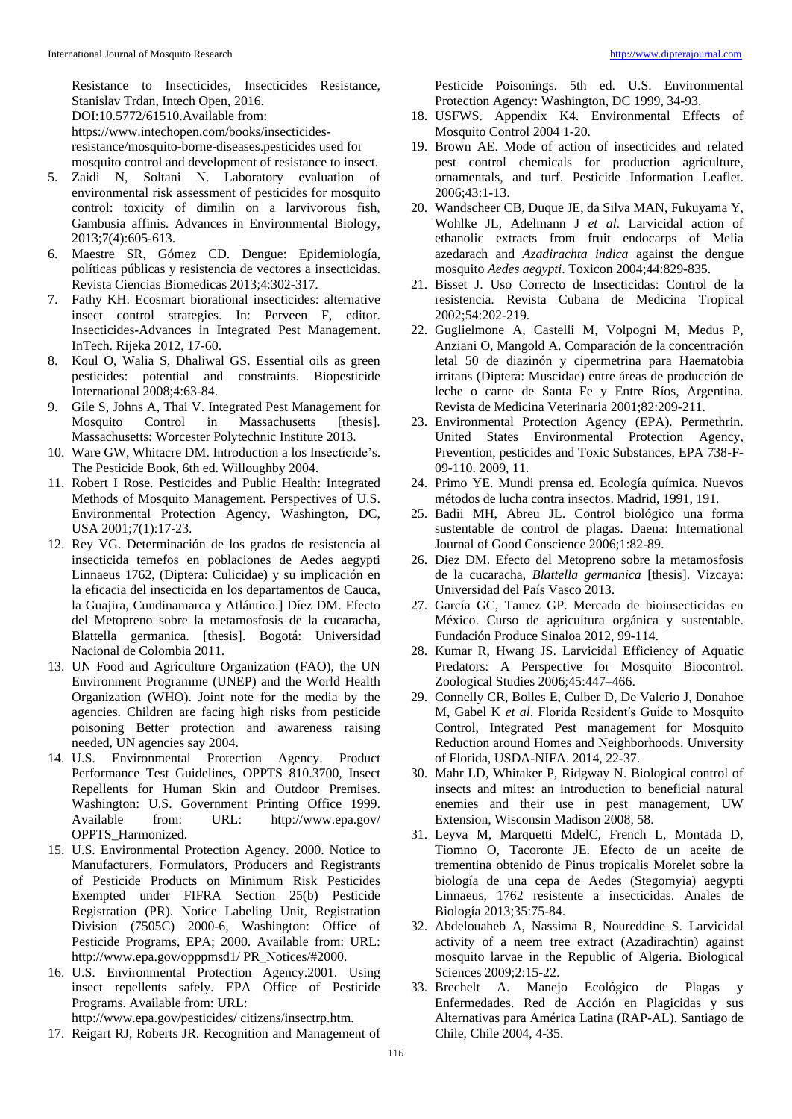Resistance to Insecticides, Insecticides Resistance, Stanislav Trdan, Intech Open, 2016. DOI:10.5772/61510.Available from: https://www.intechopen.com/books/insecticidesresistance/mosquito-borne-diseases.pesticides used for mosquito control and development of resistance to insect.

- 5. Zaidi N, Soltani N. Laboratory evaluation of environmental risk assessment of pesticides for mosquito control: toxicity of dimilin on a larvivorous fish, Gambusia affinis. Advances in Environmental Biology, 2013;7(4):605-613.
- 6. Maestre SR, Gómez CD. Dengue: Epidemiología, políticas públicas y resistencia de vectores a insecticidas. Revista Ciencias Biomedicas 2013;4:302-317.
- 7. Fathy KH. Ecosmart biorational insecticides: alternative insect control strategies. In: Perveen F, editor. Insecticides-Advances in Integrated Pest Management. InTech. Rijeka 2012, 17-60.
- 8. Koul O, Walia S, Dhaliwal GS. Essential oils as green pesticides: potential and constraints. Biopesticide International 2008;4:63-84.
- 9. Gile S, Johns A, Thai V. Integrated Pest Management for Mosquito Control in Massachusetts [thesis]. Massachusetts: Worcester Polytechnic Institute 2013.
- 10. Ware GW, Whitacre DM. Introduction a los Insecticide's. The Pesticide Book, 6th ed. Willoughby 2004.
- 11. Robert I Rose. Pesticides and Public Health: Integrated Methods of Mosquito Management. Perspectives of U.S. Environmental Protection Agency, Washington, DC, USA 2001;7(1):17-23.
- 12. Rey VG. Determinación de los grados de resistencia al insecticida temefos en poblaciones de Aedes aegypti Linnaeus 1762, (Diptera: Culicidae) y su implicación en la eficacia del insecticida en los departamentos de Cauca, la Guajira, Cundinamarca y Atlántico.] Díez DM. Efecto del Metopreno sobre la metamosfosis de la cucaracha, Blattella germanica. [thesis]. Bogotá: Universidad Nacional de Colombia 2011.
- 13. UN Food and Agriculture Organization (FAO), the UN Environment Programme (UNEP) and the World Health Organization (WHO). Joint note for the media by the agencies. Children are facing high risks from pesticide poisoning Better protection and awareness raising needed, UN agencies say 2004.
- 14. U.S. Environmental Protection Agency. Product Performance Test Guidelines, OPPTS 810.3700, Insect Repellents for Human Skin and Outdoor Premises. Washington: U.S. Government Printing Office 1999. Available from: URL: http://www.epa.gov/ OPPTS\_Harmonized.
- 15. U.S. Environmental Protection Agency. 2000. Notice to Manufacturers, Formulators, Producers and Registrants of Pesticide Products on Minimum Risk Pesticides Exempted under FIFRA Section 25(b) Pesticide Registration (PR). Notice Labeling Unit, Registration Division (7505C) 2000-6, Washington: Office of Pesticide Programs, EPA; 2000. Available from: URL: http://www.epa.gov/opppmsd1/ PR\_Notices/#2000.
- 16. U.S. Environmental Protection Agency.2001. Using insect repellents safely. EPA Office of Pesticide Programs. Available from: URL: http://www.epa.gov/pesticides/ citizens/insectrp.htm.

17. Reigart RJ, Roberts JR. Recognition and Management of

Pesticide Poisonings. 5th ed. U.S. Environmental Protection Agency: Washington, DC 1999, 34-93.

- 18. USFWS. Appendix K4. Environmental Effects of Mosquito Control 2004 1-20.
- 19. Brown AE. Mode of action of insecticides and related pest control chemicals for production agriculture, ornamentals, and turf. Pesticide Information Leaflet. 2006;43:1-13.
- 20. Wandscheer CB, Duque JE, da Silva MAN, Fukuyama Y, Wohlke JL, Adelmann J *et al*. Larvicidal action of ethanolic extracts from fruit endocarps of Melia azedarach and *Azadirachta indica* against the dengue mosquito *Aedes aegypti*. Toxicon 2004;44:829-835.
- 21. Bisset J. Uso Correcto de Insecticidas: Control de la resistencia. Revista Cubana de Medicina Tropical 2002;54:202-219.
- 22. Guglielmone A, Castelli M, Volpogni M, Medus P, Anziani O, Mangold A. Comparación de la concentración letal 50 de diazinón y cipermetrina para Haematobia irritans (Diptera: Muscidae) entre áreas de producción de leche o carne de Santa Fe y Entre Ríos, Argentina. Revista de Medicina Veterinaria 2001;82:209-211.
- 23. Environmental Protection Agency (EPA). Permethrin. United States Environmental Protection Agency, Prevention, pesticides and Toxic Substances, EPA 738-F-09-110. 2009, 11.
- 24. Primo YE. Mundi prensa ed. Ecología química. Nuevos métodos de lucha contra insectos. Madrid, 1991, 191.
- 25. Badii MH, Abreu JL. Control biológico una forma sustentable de control de plagas. Daena: International Journal of Good Conscience 2006;1:82-89.
- 26. Diez DM. Efecto del Metopreno sobre la metamosfosis de la cucaracha, *Blattella germanica* [thesis]. Vizcaya: Universidad del País Vasco 2013.
- 27. García GC, Tamez GP. Mercado de bioinsecticidas en México. Curso de agricultura orgánica y sustentable. Fundación Produce Sinaloa 2012, 99-114.
- 28. Kumar R, Hwang JS. Larvicidal Efficiency of Aquatic Predators: A Perspective for Mosquito Biocontrol. Zoological Studies 2006;45:447–466.
- 29. Connelly CR, Bolles E, Culber D, De Valerio J, Donahoe M, Gabel K *et al*. Florida Residentʹs Guide to Mosquito Control, Integrated Pest management for Mosquito Reduction around Homes and Neighborhoods. University of Florida, USDA-NIFA. 2014, 22-37.
- 30. Mahr LD, Whitaker P, Ridgway N. Biological control of insects and mites: an introduction to beneficial natural enemies and their use in pest management, UW Extension, Wisconsin Madison 2008, 58.
- 31. Leyva M, Marquetti MdelC, French L, Montada D, Tiomno O, Tacoronte JE. Efecto de un aceite de trementina obtenido de Pinus tropicalis Morelet sobre la biología de una cepa de Aedes (Stegomyia) aegypti Linnaeus, 1762 resistente a insecticidas. Anales de Biología 2013;35:75-84.
- 32. Abdelouaheb A, Nassima R, Noureddine S. Larvicidal activity of a neem tree extract (Azadirachtin) against mosquito larvae in the Republic of Algeria. Biological Sciences 2009;2:15-22.
- 33. Brechelt A. Manejo Ecológico de Plagas y Enfermedades. Red de Acción en Plagicidas y sus Alternativas para América Latina (RAP-AL). Santiago de Chile, Chile 2004, 4-35.